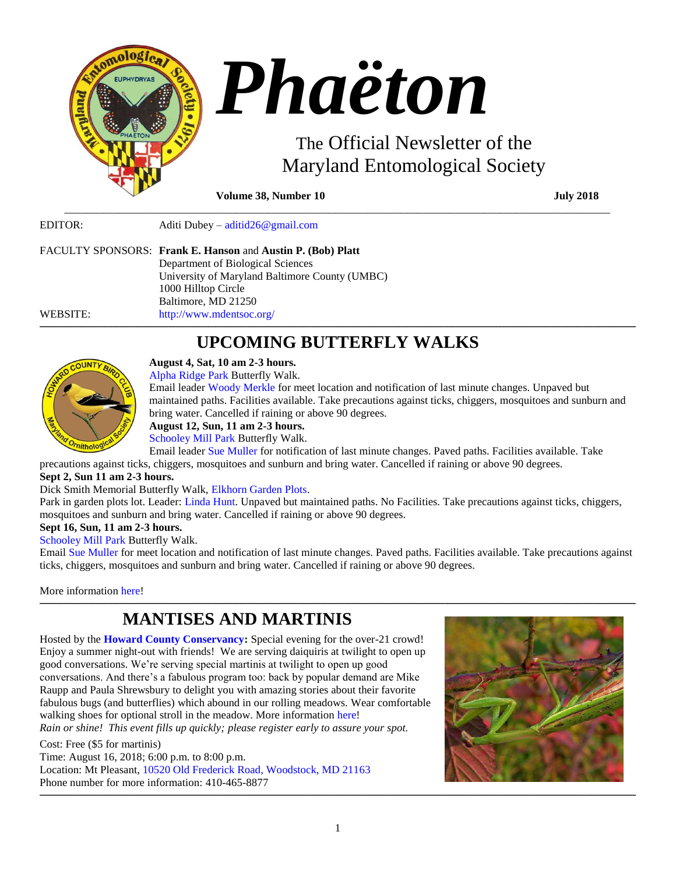

**Volume 38, Number 10 July 2018** 

EDITOR: Aditi Dubey – [aditid26@gmail.com](mailto:aditid26@gmail.com)

|          | FACULTY SPONSORS: Frank E. Hanson and Austin P. (Bob) Platt |
|----------|-------------------------------------------------------------|
|          | Department of Biological Sciences                           |
|          | University of Maryland Baltimore County (UMBC)              |
|          | 1000 Hilltop Circle                                         |
|          | Baltimore, MD 21250                                         |
| WEBSITE: | http://www.mdentsoc.org/                                    |

# **\_\_\_\_\_\_\_\_\_\_\_\_\_\_\_\_\_\_\_\_\_\_\_\_\_\_\_\_\_\_\_\_\_\_\_\_\_\_\_\_\_\_\_\_\_\_\_\_\_\_\_\_\_\_\_\_\_\_\_\_\_\_\_\_\_\_\_\_\_\_\_\_\_\_\_\_\_\_\_\_\_\_\_\_\_\_\_\_\_\_\_\_\_\_\_\_\_\_\_\_\_\_\_\_\_\_\_\_\_\_\_\_\_\_\_\_\_\_\_\_\_\_\_\_\_\_\_\_\_\_\_\_\_\_\_\_\_\_\_\_\_\_\_\_\_\_\_\_\_\_\_\_\_\_\_\_\_\_\_\_\_\_\_\_\_\_\_\_\_\_\_\_\_\_\_\_\_\_\_\_\_\_\_\_\_\_\_\_\_\_\_\_\_\_\_\_\_\_\_\_\_\_\_\_\_\_\_\_\_\_\_\_\_\_\_\_\_\_\_\_\_\_\_\_\_\_\_\_\_\_\_\_\_\_\_\_\_\_\_\_\_\_\_\_\_\_\_\_\_\_\_\_\_\_\_\_\_\_\_\_\_\_\_\_\_\_\_\_\_\_\_\_\_\_\_\_\_\_\_\_\_\_\_\_\_\_\_\_\_\_\_\_\_\_\_\_\_\_\_\_\_\_\_\_\_\_\_\_\_\_\_\_\_\_\_\_\_\_\_\_\_\_\_\_\_\_\_\_\_\_\_\_\_\_\_\_\_\_\_\_\_\_\_\_\_\_\_\_\_\_\_\_\_\_\_\_\_\_\_\_ UPCOMING BUTTERFLY WALKS**

\_\_\_\_\_\_\_\_\_\_\_\_\_\_\_\_\_\_\_\_\_\_\_\_\_\_\_\_\_\_\_\_\_\_\_\_\_\_\_\_\_\_\_\_\_\_\_\_\_\_\_\_\_\_\_\_\_\_\_\_\_\_\_\_\_\_\_\_\_\_\_\_\_\_\_\_\_\_\_\_\_\_\_\_\_\_\_\_\_\_\_\_\_\_\_\_\_\_\_



**August 4, Sat, 10 am 2-3 hours.** [Alpha Ridge Park](http://www.howardbirds.org/birdinghowardcounty/AlphaRidge/alpha_ridge_directions.htm) Butterfly Walk.

Email leader [Woody Merkle](mailto:merkfam2@verizon.net?subject=Butterfly%20Walk) for meet location and notification of last minute changes. Unpaved but maintained paths. Facilities available. Take precautions against ticks, chiggers, mosquitoes and sunburn and bring water. Cancelled if raining or above 90 degrees.

# **August 12, Sun, 11 am 2-3 hours.**

[Schooley Mill Park](http://www.howardbirds.org/birdinghowardcounty/SchooleyMill/schooley_mill_directions.htm) Butterfly Walk.

Email leader [Sue Muller](mailto:smuller@howard%20county.md.gov?subject=Butterfly%20Walk) for notification of last minute changes. Paved paths. Facilities available. Take precautions against ticks, chiggers, mosquitoes and sunburn and bring water. Cancelled if raining or above 90 degrees.

# **Sept 2, Sun 11 am 2-3 hours.**

# Dick Smith Memorial Butterfly Walk, [Elkhorn Garden Plots.](http://www.howardbirds.org/birdinghowardcounty/EBgarden_plots/elkhorn_garden_plot_directions.htm)

Park in garden plots lot. Leader: [Linda Hunt.](mailto:raven10322@hotmail.com?subject=Butterfly%20Walk) Unpaved but maintained paths. No Facilities. Take precautions against ticks, chiggers, mosquitoes and sunburn and bring water. Cancelled if raining or above 90 degrees.

# **Sept 16, Sun, 11 am 2-3 hours.**

[Schooley Mill Park](http://www.howardbirds.org/birdinghowardcounty/SchooleyMill/schooley_mill_directions.htm) Butterfly Walk.

Email [Sue Muller](mailto:smuller@howard%20county.md.gov?subject=Butterfly%20Walk) for meet location and notification of last minute changes. Paved paths. Facilities available. Take precautions against ticks, chiggers, mosquitoes and sunburn and bring water. Cancelled if raining or above 90 degrees.

**\_\_\_\_\_\_\_\_\_\_\_\_\_\_\_\_\_\_\_\_\_\_\_\_\_\_\_\_\_\_\_\_\_\_\_\_\_\_\_\_\_\_\_\_\_\_\_\_\_\_\_\_\_\_\_\_\_\_\_\_\_\_\_\_\_\_\_\_\_\_\_\_\_\_\_\_\_\_\_\_\_\_\_\_\_\_\_\_\_\_\_\_\_\_\_\_\_\_\_\_\_\_\_\_\_\_\_\_\_\_\_\_\_\_\_\_\_\_\_\_\_\_\_\_\_\_\_\_\_\_\_\_\_\_\_\_\_\_\_\_\_\_\_\_\_\_\_\_\_\_\_\_\_\_\_\_\_\_\_\_\_\_\_\_\_\_\_\_\_\_\_\_\_\_\_\_\_\_\_\_\_\_\_\_\_\_\_\_\_\_\_\_\_\_\_\_\_\_\_\_\_\_\_\_\_\_\_\_\_\_\_\_\_\_\_\_\_\_\_\_\_\_\_\_\_\_\_\_\_\_\_\_\_\_\_\_\_\_\_\_\_\_\_\_\_\_\_\_\_\_\_\_\_\_\_\_\_\_\_\_\_\_\_\_\_\_\_\_\_\_\_\_\_\_\_\_\_\_\_\_\_\_\_\_\_\_\_\_\_\_\_\_\_\_\_\_\_\_\_\_\_\_\_\_\_\_\_\_\_\_\_\_\_\_\_\_\_\_\_\_\_\_\_\_\_\_\_\_\_\_\_\_\_\_\_\_\_\_\_\_\_\_\_\_\_\_\_\_\_\_\_\_\_\_\_\_\_\_\_\_**

More information [here!](http://www.howardbirds.org/butterflies/)

# **MANTISES AND MARTINIS**

Hosted by the **[Howard County Conservancy:](http://www.hcconservancy.org/)** Special evening for the over-21 crowd! Enjoy a summer night-out with friends! We are serving daiquiris at twilight to open up good conversations. We're serving special martinis at twilight to open up good conversations. And there's a fabulous program too: back by popular demand are Mike Raupp and Paula Shrewsbury to delight you with amazing stories about their favorite fabulous bugs (and butterflies) which abound in our rolling meadows. Wear comfortable walking shoes for optional stroll in the meadow. More informatio[n here!](https://www.hcconservancy.org/event/mantises-and-martinis/)

*Rain or shine! This event fills up quickly; please register early to assure your spot.*

Cost: Free (\$5 for martinis) Time: August 16, 2018; 6:00 p.m. to 8:00 p.m. Location: Mt Pleasant, [10520 Old Frederick Road, Woodstock, MD 21163](https://www.google.com/maps/place/10520+Old+Frederick+Rd,+Woodstock,+MD+21163/@39.3152489,-76.8774398,17z/data=!3m1!4b1!4m5!3m4!1s0x89c8217ee1aa28cb:0xdc53d1993845c3ff!8m2!3d39.3152489!4d-76.8752511) Phone number for more information: 410-465-8877



**\_\_\_\_\_\_\_\_\_\_\_\_\_\_\_\_\_\_\_\_\_\_\_\_\_\_\_\_\_\_\_\_\_\_\_\_\_\_\_\_\_\_\_\_\_\_\_\_\_\_\_\_\_\_\_\_\_\_\_\_\_\_\_\_\_\_\_\_\_\_\_\_\_\_\_\_\_\_\_\_\_\_\_\_\_\_\_\_\_\_\_\_\_\_\_\_\_\_\_\_\_\_\_\_\_\_\_\_\_\_\_\_\_\_\_\_\_\_\_\_\_\_\_\_\_\_\_\_\_\_\_\_\_\_\_\_\_\_\_\_\_\_\_\_\_\_\_\_\_\_\_\_\_\_\_\_\_\_\_\_\_\_\_\_\_\_\_\_\_\_\_\_\_\_\_\_\_\_\_\_\_\_\_\_\_\_\_\_\_\_\_\_\_\_\_\_\_\_\_\_\_\_\_\_\_\_\_\_\_\_\_\_\_\_\_\_\_\_\_\_\_\_\_\_\_\_\_\_\_\_\_\_\_\_\_\_\_\_\_\_\_\_\_\_\_\_\_\_\_\_\_\_\_\_\_\_\_\_\_\_\_\_\_\_\_\_\_\_\_\_\_\_\_\_\_\_\_\_\_\_\_\_\_\_\_\_\_\_\_\_\_\_\_\_\_\_\_\_\_\_\_\_\_\_\_\_\_\_\_\_\_\_\_\_\_\_\_\_\_\_\_\_\_\_\_\_\_\_\_\_\_\_\_\_\_\_\_\_\_\_\_\_\_\_\_\_\_\_\_\_\_\_\_\_\_\_\_\_\_\_**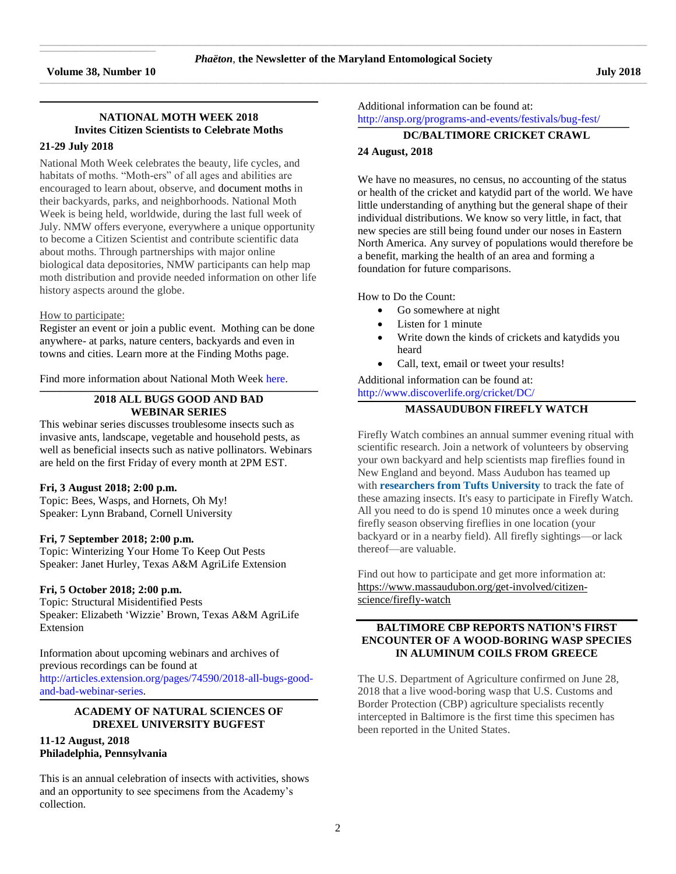$\mathcal{L}_\text{max}$  and  $\mathcal{L}_\text{max}$  and  $\mathcal{L}_\text{max}$  and  $\mathcal{L}_\text{max}$  and  $\mathcal{L}_\text{max}$ 

# **NATIONAL MOTH WEEK 2018 Invites Citizen Scientists to Celebrate Moths**

**\_\_\_\_\_\_\_\_\_\_\_\_\_\_\_\_\_\_\_\_\_\_\_\_\_\_\_\_\_\_\_\_\_\_\_\_\_\_\_\_\_\_\_\_\_\_\_\_\_\_\_\_\_\_\_\_\_\_\_\_\_\_\_\_\_\_\_\_\_\_\_\_\_\_\_\_\_\_\_\_\_\_\_\_\_\_\_\_\_\_\_\_\_\_\_\_\_\_\_\_\_\_\_\_\_\_\_\_\_\_\_\_\_\_\_\_\_\_\_\_\_\_\_\_\_\_\_\_\_\_\_\_\_\_\_\_\_\_\_\_\_\_\_\_\_\_\_\_\_\_\_\_\_\_\_\_\_\_\_\_\_\_\_\_\_\_\_\_**

# **21-29 July 2018**

National Moth Week celebrates the beauty, life cycles, and habitats of moths. "Moth-ers" of all ages and abilities are encouraged to learn about, observe, and [document](http://nationalmothweek.org/how-to-submit-data/) moths in their backyards, parks, and neighborhoods. National Moth Week is being held, worldwide, during the last full week of July. NMW offers everyone, everywhere a unique opportunity to become a Citizen Scientist and contribute scientific data about moths. Through partnerships with major online biological data depositories, NMW participants can help map moth distribution and provide needed information on other life history aspects around the globe.

### How to participate:

[Register](http://nationalmothweek.org/register-a-nmw-event-2017/) an event or join a public event. Mothing can be done anywhere- at parks, nature centers, backyards and even in towns and cities. Learn more at the [Finding](http://nationalmothweek.org/finding-moths-2/) Moths page.

Find more information about National Moth Week [here.](http://nationalmothweek.org/)

# **2018 ALL BUGS GOOD AND BAD WEBINAR SERIES**

**\_\_\_\_\_\_\_\_\_\_\_\_\_\_\_\_\_\_\_\_\_\_\_\_\_\_\_\_\_\_\_\_\_\_\_\_\_\_\_\_\_\_\_\_\_\_\_\_\_\_\_\_\_\_\_\_\_\_\_\_\_\_\_\_\_\_\_\_\_\_\_\_\_\_\_\_\_\_\_\_\_\_\_\_\_\_\_\_\_\_\_\_\_\_\_\_\_\_\_\_\_\_\_\_\_\_\_\_\_\_\_\_\_\_\_\_\_\_\_\_\_\_\_\_\_\_\_\_\_\_\_\_\_\_\_\_\_\_\_\_\_\_\_\_\_\_\_\_\_\_\_\_\_\_\_\_\_\_\_\_\_\_\_\_\_\_\_\_**

This webinar series discusses troublesome insects such as invasive ants, landscape, vegetable and household pests, as well as beneficial insects such as native pollinators. Webinars are held on the first Friday of every month at 2PM EST.

# **Fri, 3 August 2018; 2:00 p.m.**

Topic: Bees, Wasps, and Hornets, Oh My! Speaker: Lynn Braband, Cornell University

### **Fri, 7 September 2018; 2:00 p.m.**

Topic: Winterizing Your Home To Keep Out Pests Speaker: Janet Hurley, Texas A&M AgriLife Extension

# **Fri, 5 October 2018; 2:00 p.m.**

Topic: Structural Misidentified Pests Speaker: Elizabeth 'Wizzie' Brown, Texas A&M AgriLife Extension

Information about upcoming webinars and archives of previous recordings can be found at [http://articles.extension.org/pages/74590/2018-all-bugs-good](http://articles.extension.org/pages/74590/2018-all-bugs-good-and-bad-webinar-series)[and-bad-webinar-series.](http://articles.extension.org/pages/74590/2018-all-bugs-good-and-bad-webinar-series)

### **\_\_\_\_\_\_\_\_\_\_\_\_\_\_\_\_\_\_\_\_\_\_\_\_\_\_\_\_\_\_\_\_\_\_\_\_\_\_\_\_\_\_\_\_\_\_\_\_\_\_\_\_\_\_\_\_\_\_\_\_\_\_\_\_\_\_\_\_\_\_\_\_\_\_\_\_\_\_\_\_\_\_\_\_\_\_\_\_\_\_\_\_\_\_\_\_\_\_\_\_\_\_\_\_\_\_\_\_\_\_\_\_\_\_\_\_\_\_\_\_\_\_\_\_\_\_\_\_\_\_\_\_\_\_\_\_\_\_\_\_\_\_\_\_\_\_\_\_\_\_\_\_\_\_\_\_\_\_\_\_\_\_\_\_\_\_\_\_ ACADEMY OF NATURAL SCIENCES OF DREXEL UNIVERSITY BUGFEST**

## **11-12 August, 2018 Philadelphia, Pennsylvania**

This is an annual celebration of insects with activities, shows and an opportunity to see specimens from the Academy's collection.

Additional information can be found at: http://ansp.org/programs-and-events/festivals/bug-fest/

#### **\_\_\_\_\_\_\_\_\_\_\_\_\_\_\_\_\_\_\_\_\_\_\_\_\_\_\_\_\_\_\_\_\_\_\_\_\_\_\_\_\_\_\_\_\_\_\_\_\_\_\_\_\_\_\_\_\_\_\_\_\_\_\_\_\_\_\_\_\_\_\_\_\_\_\_\_\_\_\_\_\_\_\_\_\_\_\_\_\_\_\_\_\_\_\_\_\_\_\_\_\_\_\_\_\_\_\_\_\_\_\_\_\_\_\_\_\_\_\_\_\_\_\_\_\_\_\_\_\_\_\_\_\_\_\_\_\_\_\_\_\_\_\_\_\_\_\_\_\_\_\_\_\_\_\_\_\_\_\_\_\_\_\_\_ DC/BALTIMORE CRICKET CRAWL**

# **24 August, 2018**

We have no measures, no census, no accounting of the status or health of the cricket and katydid part of the world. We have little understanding of anything but the general shape of their individual distributions. We know so very little, in fact, that new species are still being found under our noses in Eastern North America. Any survey of populations would therefore be a benefit, marking the health of an area and forming a foundation for future comparisons.

How to Do the Count:

- Go somewhere at night
- Listen for 1 minute
- Write down the kinds of crickets and katydids you heard
- Call, text, email or tweet your results!

Additional information can be found at: <http://www.discoverlife.org/cricket/DC/>

#### **\_\_\_\_\_\_\_\_\_\_\_\_\_\_\_\_\_\_\_\_\_\_\_\_\_\_\_\_\_\_\_\_\_\_\_\_\_\_\_\_\_\_\_\_\_\_\_\_\_\_\_\_\_\_\_\_\_\_\_\_\_\_\_\_\_\_\_\_\_\_\_\_\_\_\_\_\_\_\_\_\_\_\_\_\_\_\_\_\_\_\_\_\_\_\_\_\_\_\_\_\_\_\_\_\_\_\_\_\_\_\_\_\_\_\_\_\_\_\_\_\_\_\_\_\_\_\_\_\_\_\_\_\_\_\_\_\_\_\_\_\_\_\_\_\_\_\_\_\_\_\_\_\_\_\_\_\_\_\_\_\_\_\_\_\_\_\_\_ MASSAUDUBON FIREFLY WATCH**

Firefly Watch combines an annual summer evening ritual with scientific research. Join a network of volunteers by observing your own backyard and help scientists map fireflies found in New England and beyond. Mass Audubon has teamed up with **[researchers](https://www.massaudubon.org/get-involved/citizen-science/firefly-watch/about-the-researchers) from Tufts University** to track the fate of these amazing insects. It's easy to participate in Firefly Watch. All you need to do is spend 10 minutes once a week during firefly season observing fireflies in one location (your backyard or in a nearby field). All firefly sightings—or lack thereof—are valuable.

Find out how to participate and get more information at: [https://www.massaudubon.org/get-involved/citizen](https://www.massaudubon.org/get-involved/citizen-science/firefly-watch)[science/firefly-watch](https://www.massaudubon.org/get-involved/citizen-science/firefly-watch)

# **BALTIMORE CBP REPORTS NATION'S FIRST ENCOUNTER OF A WOOD-BORING WASP SPECIES IN ALUMINUM COILS FROM GREECE**

The U.S. Department of Agriculture confirmed on June 28, 2018 that a live wood-boring wasp that U.S. Customs and Border Protection (CBP) agriculture specialists recently intercepted in Baltimore is the first time this specimen has been reported in the United States.